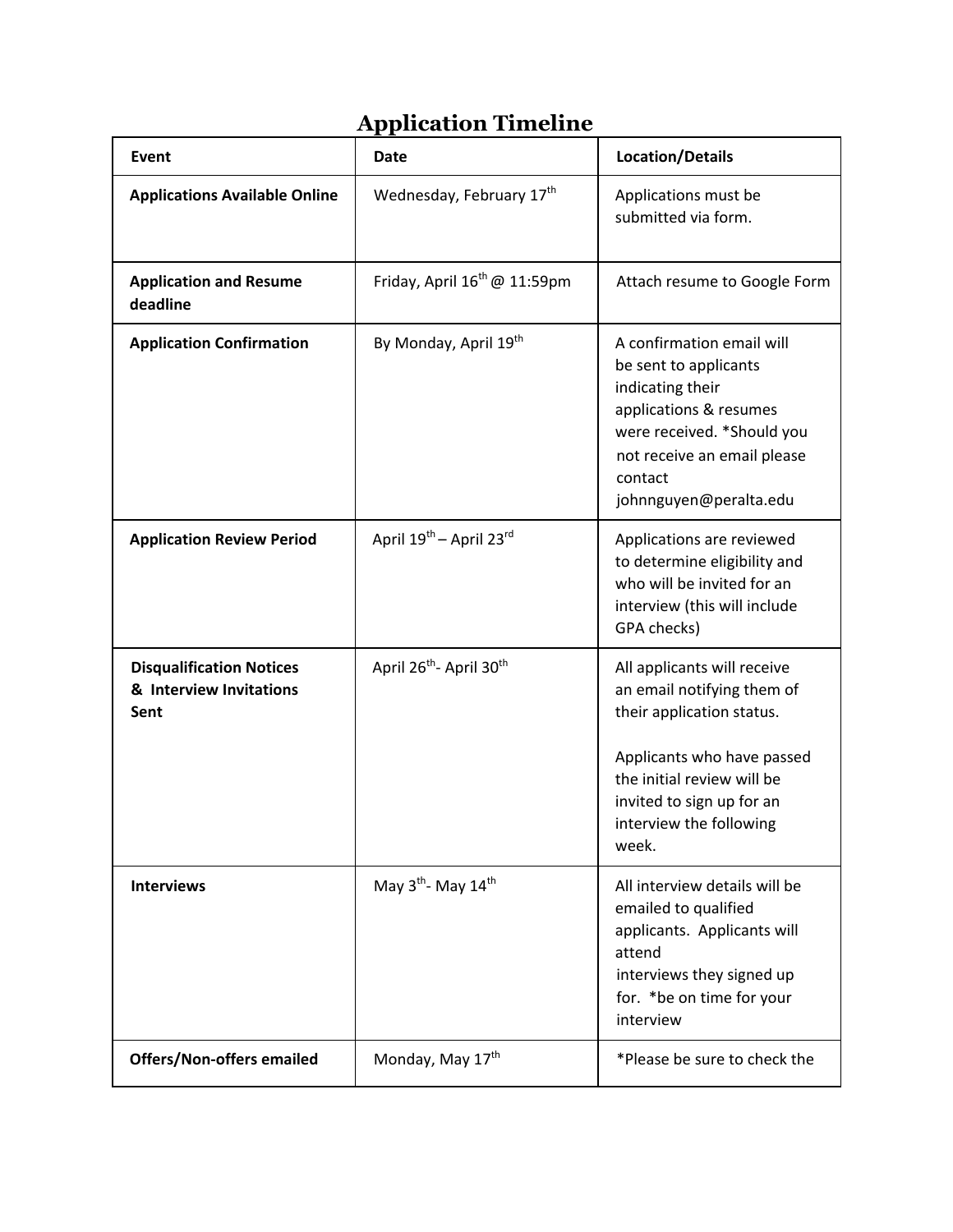## **Application Timeline**

| Event                                                              | <b>Date</b>                                     | <b>Location/Details</b>                                                                                                                                                                                             |
|--------------------------------------------------------------------|-------------------------------------------------|---------------------------------------------------------------------------------------------------------------------------------------------------------------------------------------------------------------------|
| <b>Applications Available Online</b>                               | Wednesday, February 17th                        | Applications must be<br>submitted via form.                                                                                                                                                                         |
| <b>Application and Resume</b><br>deadline                          | Friday, April $16^{th}$ @ 11:59pm               | Attach resume to Google Form                                                                                                                                                                                        |
| <b>Application Confirmation</b>                                    | By Monday, April 19th                           | A confirmation email will<br>be sent to applicants<br>indicating their<br>applications & resumes<br>were received. *Should you<br>not receive an email please<br>contact<br>johnnguyen@peralta.edu                  |
| <b>Application Review Period</b>                                   | April 19 <sup>th</sup> - April 23rd             | Applications are reviewed<br>to determine eligibility and<br>who will be invited for an<br>interview (this will include<br>GPA checks)                                                                              |
| <b>Disqualification Notices</b><br>& Interview Invitations<br>Sent | April 26 <sup>th</sup> - April 30 <sup>th</sup> | All applicants will receive<br>an email notifying them of<br>their application status.<br>Applicants who have passed<br>the initial review will be<br>invited to sign up for an<br>interview the following<br>week. |
| <b>Interviews</b>                                                  | May 3 <sup>th</sup> - May 14 <sup>th</sup>      | All interview details will be<br>emailed to qualified<br>applicants. Applicants will<br>attend<br>interviews they signed up<br>for. *be on time for your<br>interview                                               |
| <b>Offers/Non-offers emailed</b>                                   | Monday, May 17th                                | *Please be sure to check the                                                                                                                                                                                        |